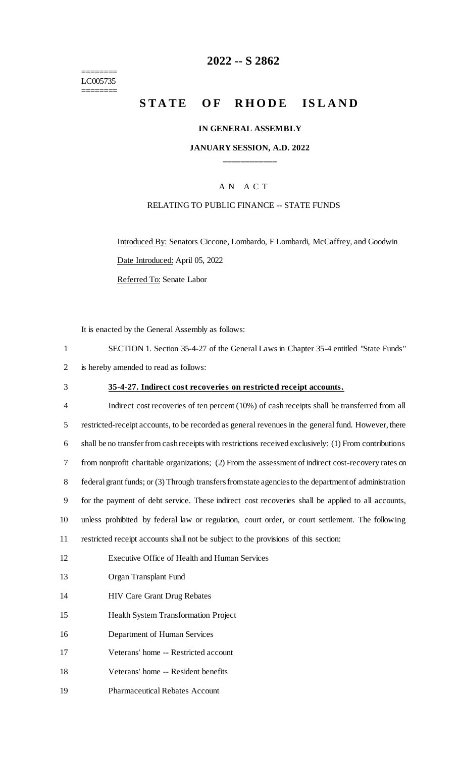======== LC005735 ========

## **-- S 2862**

# **STATE OF RHODE ISLAND**

#### **IN GENERAL ASSEMBLY**

#### **JANUARY SESSION, A.D. 2022 \_\_\_\_\_\_\_\_\_\_\_\_**

### A N A C T

#### RELATING TO PUBLIC FINANCE -- STATE FUNDS

Introduced By: Senators Ciccone, Lombardo, F Lombardi, McCaffrey, and Goodwin Date Introduced: April 05, 2022

Referred To: Senate Labor

It is enacted by the General Assembly as follows:

| SECTION 1. Section 35-4-27 of the General Laws in Chapter 35-4 entitled "State Funds" |
|---------------------------------------------------------------------------------------|
| 2 is hereby amended to read as follows:                                               |

### **35-4-27. Indirect cost recoveries on restricted receipt accounts.**

 Indirect cost recoveries of ten percent (10%) of cash receipts shall be transferred from all restricted-receipt accounts, to be recorded as general revenues in the general fund. However, there shall be no transfer from cash receipts with restrictions received exclusively: (1) From contributions from nonprofit charitable organizations; (2) From the assessment of indirect cost-recovery rates on federal grant funds; or (3) Through transfers from state agencies to the department of administration for the payment of debt service. These indirect cost recoveries shall be applied to all accounts, unless prohibited by federal law or regulation, court order, or court settlement. The following restricted receipt accounts shall not be subject to the provisions of this section: Executive Office of Health and Human Services

- Organ Transplant Fund
- HIV Care Grant Drug Rebates
- Health System Transformation Project
- Department of Human Services
- Veterans' home -- Restricted account
- Veterans' home -- Resident benefits
- Pharmaceutical Rebates Account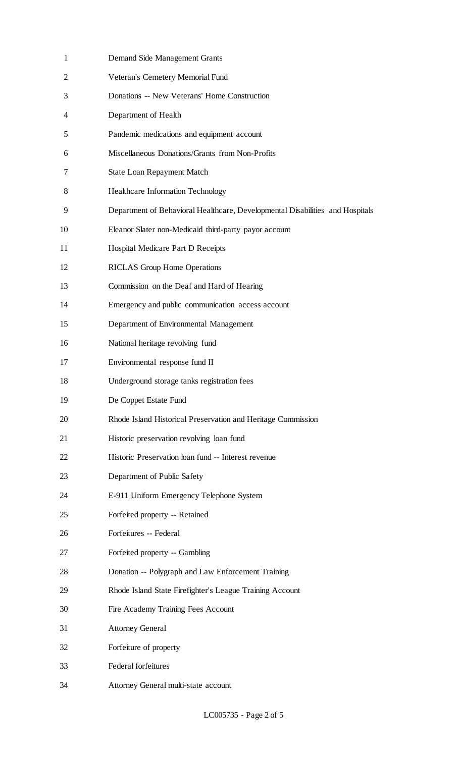| $\mathbf{1}$   | Demand Side Management Grants                                                 |
|----------------|-------------------------------------------------------------------------------|
| $\overline{2}$ | Veteran's Cemetery Memorial Fund                                              |
| 3              | Donations -- New Veterans' Home Construction                                  |
| 4              | Department of Health                                                          |
| 5              | Pandemic medications and equipment account                                    |
| 6              | Miscellaneous Donations/Grants from Non-Profits                               |
| 7              | <b>State Loan Repayment Match</b>                                             |
| 8              | Healthcare Information Technology                                             |
| 9              | Department of Behavioral Healthcare, Developmental Disabilities and Hospitals |
| 10             | Eleanor Slater non-Medicaid third-party payor account                         |
| 11             | Hospital Medicare Part D Receipts                                             |
| 12             | <b>RICLAS Group Home Operations</b>                                           |
| 13             | Commission on the Deaf and Hard of Hearing                                    |
| 14             | Emergency and public communication access account                             |
| 15             | Department of Environmental Management                                        |
| 16             | National heritage revolving fund                                              |
| 17             | Environmental response fund II                                                |
| 18             | Underground storage tanks registration fees                                   |
| 19             | De Coppet Estate Fund                                                         |
| 20             | Rhode Island Historical Preservation and Heritage Commission                  |
| 21             | Historic preservation revolving loan fund                                     |
| 22             | Historic Preservation loan fund -- Interest revenue                           |
| 23             | Department of Public Safety                                                   |
| 24             | E-911 Uniform Emergency Telephone System                                      |
| 25             | Forfeited property -- Retained                                                |
| 26             | Forfeitures -- Federal                                                        |
| 27             | Forfeited property -- Gambling                                                |
| 28             | Donation -- Polygraph and Law Enforcement Training                            |
| 29             | Rhode Island State Firefighter's League Training Account                      |
| 30             | Fire Academy Training Fees Account                                            |
| 31             | <b>Attorney General</b>                                                       |
| 32             | Forfeiture of property                                                        |
| 33             | Federal forfeitures                                                           |
| 34             | Attorney General multi-state account                                          |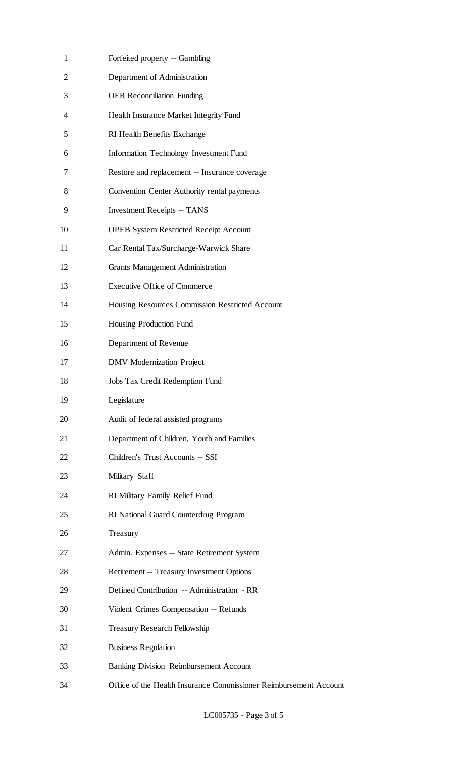| $\mathbf{1}$ | Forfeited property -- Gambling                                    |
|--------------|-------------------------------------------------------------------|
| 2            | Department of Administration                                      |
| 3            | <b>OER Reconciliation Funding</b>                                 |
| 4            | Health Insurance Market Integrity Fund                            |
| 5            | RI Health Benefits Exchange                                       |
| 6            | <b>Information Technology Investment Fund</b>                     |
| 7            | Restore and replacement -- Insurance coverage                     |
| 8            | Convention Center Authority rental payments                       |
| 9            | <b>Investment Receipts -- TANS</b>                                |
| 10           | <b>OPEB System Restricted Receipt Account</b>                     |
| 11           | Car Rental Tax/Surcharge-Warwick Share                            |
| 12           | <b>Grants Management Administration</b>                           |
| 13           | <b>Executive Office of Commerce</b>                               |
| 14           | Housing Resources Commission Restricted Account                   |
| 15           | Housing Production Fund                                           |
| 16           | Department of Revenue                                             |
| 17           | <b>DMV</b> Modernization Project                                  |
| 18           | Jobs Tax Credit Redemption Fund                                   |
| 19           | Legislature                                                       |
| 20           | Audit of federal assisted programs                                |
| 21           | Department of Children, Youth and Families                        |
| 22           | Children's Trust Accounts -- SSI                                  |
| 23           | Military Staff                                                    |
| 24           | RI Military Family Relief Fund                                    |
| 25           | RI National Guard Counterdrug Program                             |
| 26           | Treasury                                                          |
| 27           | Admin. Expenses -- State Retirement System                        |
| 28           | Retirement -- Treasury Investment Options                         |
| 29           | Defined Contribution -- Administration - RR                       |
| 30           | Violent Crimes Compensation -- Refunds                            |
| 31           | <b>Treasury Research Fellowship</b>                               |
| 32           | <b>Business Regulation</b>                                        |
| 33           | <b>Banking Division Reimbursement Account</b>                     |
| 34           | Office of the Health Insurance Commissioner Reimbursement Account |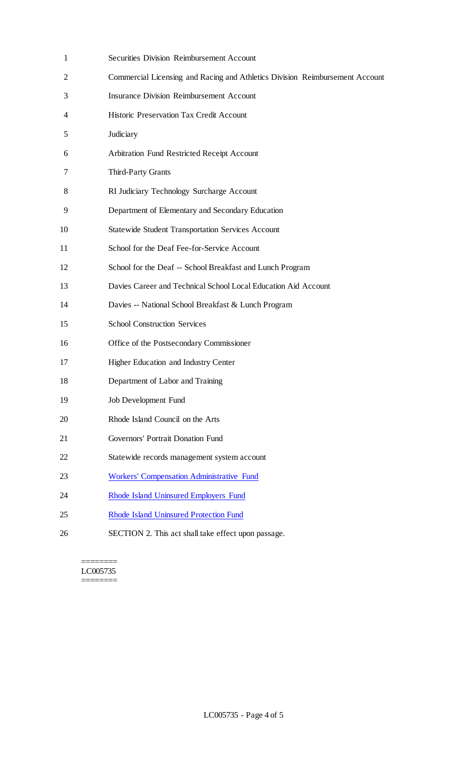| 1  | <b>Securities Division Reimbursement Account</b>                             |
|----|------------------------------------------------------------------------------|
| 2  | Commercial Licensing and Racing and Athletics Division Reimbursement Account |
| 3  | <b>Insurance Division Reimbursement Account</b>                              |
| 4  | Historic Preservation Tax Credit Account                                     |
| 5  | Judiciary                                                                    |
| 6  | Arbitration Fund Restricted Receipt Account                                  |
| 7  | Third-Party Grants                                                           |
| 8  | RI Judiciary Technology Surcharge Account                                    |
| 9  | Department of Elementary and Secondary Education                             |
| 10 | <b>Statewide Student Transportation Services Account</b>                     |
| 11 | School for the Deaf Fee-for-Service Account                                  |
| 12 | School for the Deaf -- School Breakfast and Lunch Program                    |
| 13 | Davies Career and Technical School Local Education Aid Account               |
| 14 | Davies -- National School Breakfast & Lunch Program                          |
| 15 | <b>School Construction Services</b>                                          |
| 16 | Office of the Postsecondary Commissioner                                     |
| 17 | Higher Education and Industry Center                                         |
| 18 | Department of Labor and Training                                             |
| 19 | Job Development Fund                                                         |
| 20 | Rhode Island Council on the Arts                                             |
| 21 | Governors' Portrait Donation Fund                                            |
| 22 | Statewide records management system account                                  |
| 23 | <b>Workers' Compensation Administrative Fund</b>                             |
| 24 | <b>Rhode Island Uninsured Employers Fund</b>                                 |
| 25 | <b>Rhode Island Uninsured Protection Fund</b>                                |
| 26 | SECTION 2. This act shall take effect upon passage.                          |
|    |                                                                              |

======== LC005735 ========